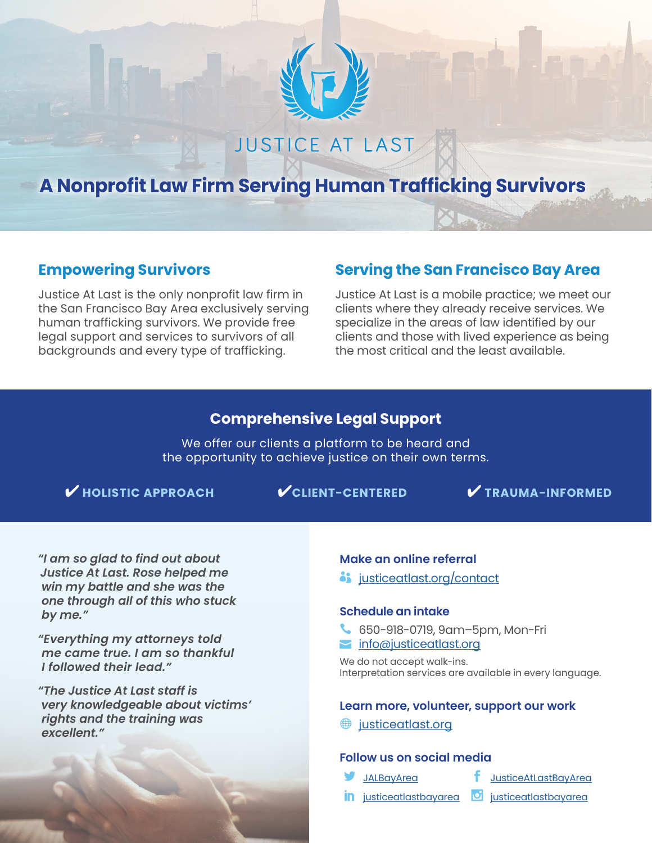

# **JUSTICE AT LAST**

# **[A Nonprofit Law Firm Serving Human Trafficking Survivors](https://justiceatlast.org)**

## **Empowering Survivors**

Justice At Last is the only nonprofit law firm in the San Francisco Bay Area exclusively serving human trafficking survivors. We provide free legal support and services to survivors of all backgrounds and every type of trafficking.

# **Serving the San Francisco Bay Area**

Justice At Last is a mobile practice; we meet our clients where they already receive services. We specialize in the areas of law identified by our clients and those with lived experience as being the most critical and the least available.

## **Comprehensive Legal Support**

We offer our clients a platform to be heard and the opportunity to achieve justice on their own terms.

✔ **HOLISTIC APPROACH** ✔**CLIENT-CENTERED** ✔ **TRAUMA-INFORMED**

*"I am so glad to find out about Justice At Last. Rose helped me win my battle and she was the one through all of this who stuck by me."*

*"Everything my attorneys told me came true. I am so thankful I followed their lead."*

*"The Justice At Last staff is very knowledgeable about victims' rights and the training was excellent."*

#### **Make an online referral**

i [justiceatlast.org/contact](https://justiceatlast.org/contact)

#### **Schedule an intake**

- 650-918-0719, 9am–5pm, Mon-Fri
- **info**@justiceatlast.org

We do not accept walk-ins. Interpretation services are available in every language.

#### **Learn more, volunteer, support our work**

**i** [justiceatlast.org](https://justiceatlast.org)

#### **Follow us on social media**

- 
- [JALBayArea](https://twitter.com/JALBayArea) [JusticeAtLastBayArea](https://www.facebook.com/JusticeAtLastBayArea/)
- in [justiceatlastbayarea](http://instagram.com/justiceatlastbayarea/) **o** justiceatlastbayarea
	-